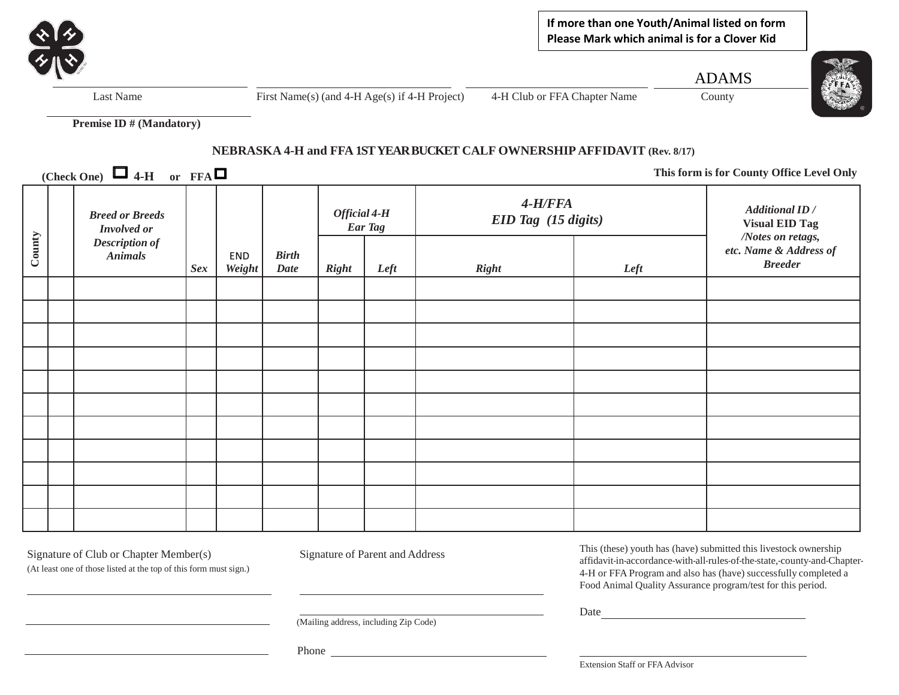

**If more than one Youth/Animal listed on form Please Mark which animal is for a Clover Kid** 

ADAMS



Last Name First Name(s) (and 4-H Age(s) if 4-H Project) 4-H Club or FFA Chapter Name County

**Premise ID # (Mandatory)**

## **NEBRASKA 4-H and FFA 1ST YEAR BUCKET CALF OWNERSHIP AFFIDAVIT (Rev. 8/17)**

**(Check One)**  $\Box$  **4-H** or **FFA** $\Box$ 

**This form is for County Office Level Only**

| County | <b>Breed or Breeds</b><br><b>Involved</b> or<br><b>Description of</b><br><b>Animals</b> | Sex | END<br><b>Weight</b> | <b>Birth</b><br><b>Date</b> | Official 4-H<br>Ear Tag |      | $4-H/FFA$<br>EID Tag (15 digits) |      | <b>Additional ID</b> /<br><b>Visual EID Tag</b>               |
|--------|-----------------------------------------------------------------------------------------|-----|----------------------|-----------------------------|-------------------------|------|----------------------------------|------|---------------------------------------------------------------|
|        |                                                                                         |     |                      |                             | <b>Right</b>            | Left | <b>Right</b>                     | Left | /Notes on retags,<br>etc. Name & Address of<br><b>Breeder</b> |
|        |                                                                                         |     |                      |                             |                         |      |                                  |      |                                                               |
|        |                                                                                         |     |                      |                             |                         |      |                                  |      |                                                               |
|        |                                                                                         |     |                      |                             |                         |      |                                  |      |                                                               |
|        |                                                                                         |     |                      |                             |                         |      |                                  |      |                                                               |
|        |                                                                                         |     |                      |                             |                         |      |                                  |      |                                                               |
|        |                                                                                         |     |                      |                             |                         |      |                                  |      |                                                               |
|        |                                                                                         |     |                      |                             |                         |      |                                  |      |                                                               |
|        |                                                                                         |     |                      |                             |                         |      |                                  |      |                                                               |
|        |                                                                                         |     |                      |                             |                         |      |                                  |      |                                                               |
|        |                                                                                         |     |                      |                             |                         |      |                                  |      |                                                               |
|        |                                                                                         |     |                      |                             |                         |      |                                  |      |                                                               |

Signature of Club or Chapter Member(s) Signature of Parent and Address

(At least one of those listed at the top of this form must sign.)

This (these) youth has (have) submitted this livestock ownership affidavit-in-accordance-with-all-rules-of-the-state,-county-and-Chapter-4-H or FFA Program and also has (have) successfully completed a Food Animal Quality Assurance program/test for this period.

Date and the state of the state of the state of the state of the state of the state of the state of the state of the state of the state of the state of the state of the state of the state of the state of the state of the s

(Mailing address, including Zip Code)

Phone

Extension Staff or FFAAdvisor